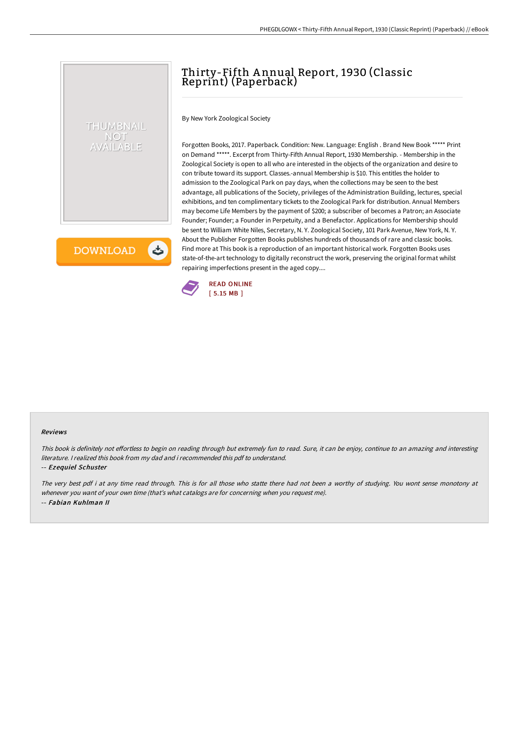# Thirty-Fifth A nnual Report, 1930 (Classic Reprint) (Paperback)

By New York Zoological Society

Forgotten Books, 2017. Paperback. Condition: New. Language: English . Brand New Book \*\*\*\*\* Print on Demand \*\*\*\*\*. Excerpt from Thirty-Fifth Annual Report, 1930 Membership. - Membership in the Zoological Society is open to all who are interested in the objects of the organization and desire to con tribute toward its support. Classes.-annual Membership is \$10. This entitles the holder to admission to the Zoological Park on pay days, when the collections may be seen to the best advantage, all publications of the Society, privileges of the Administration Building, lectures, special exhibitions, and ten complimentary tickets to the Zoological Park for distribution. Annual Members may become Life Members by the payment of \$200; a subscriber of becomes a Patron; an Associate Founder; Founder; a Founder in Perpetuity, and a Benefactor. Applications for Membership should be sent to William White Niles, Secretary, N. Y. Zoological Society, 101 Park Avenue, New York, N. Y. About the Publisher Forgotten Books publishes hundreds of thousands of rare and classic books. Find more at This book is a reproduction of an important historical work. Forgotten Books uses state-of-the-art technology to digitally reconstruct the work, preserving the original format whilst repairing imperfections present in the aged copy....



#### Reviews

This book is definitely not effortless to begin on reading through but extremely fun to read. Sure, it can be enjoy, continue to an amazing and interesting literature. I realized this book from my dad and i recommended this pdf to understand.

#### -- Ezequiel Schuster

THUMBNAIL **NOT** VAILABLE

**DOWNLOAD** 

と

The very best pdf i at any time read through. This is for all those who statte there had not been a worthy of studying. You wont sense monotony at whenever you want of your own time (that's what catalogs are for concerning when you request me). -- Fabian Kuhlman II